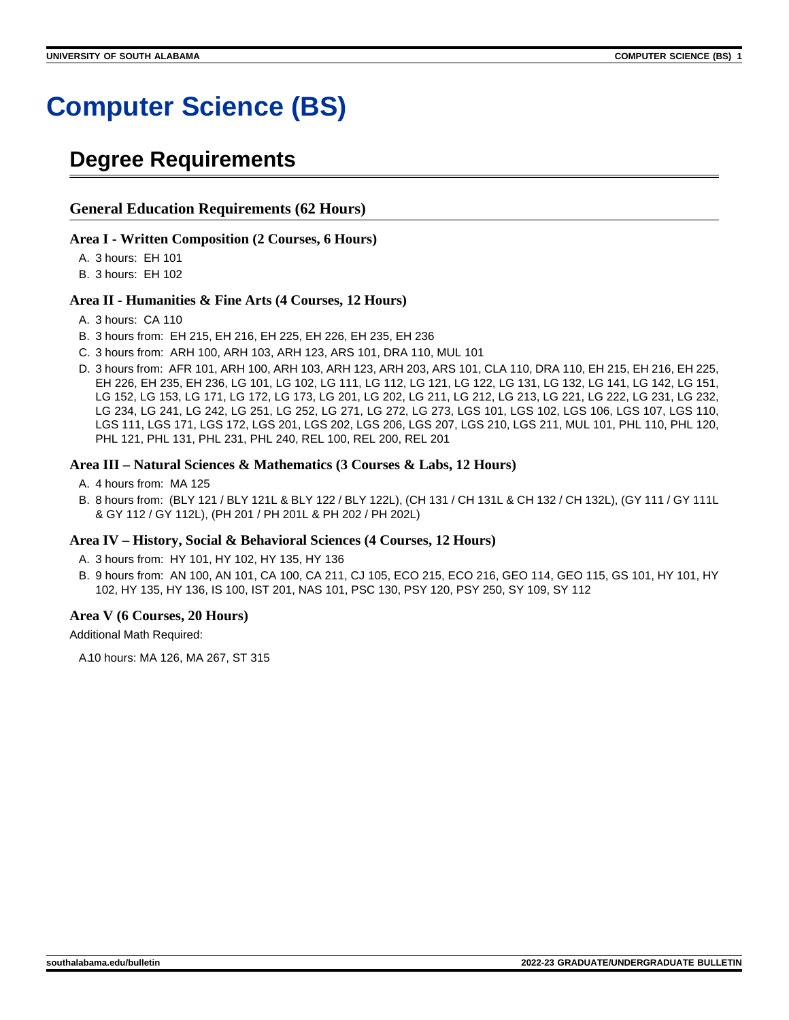# **Computer Science (BS)**

# **Degree Requirements**

### **General Education Requirements (62 Hours)**

### **Area I - Written Composition (2 Courses, 6 Hours)**

A. 3 hours: EH 101

B. 3 hours: EH 102

### **Area II - Humanities & Fine Arts (4 Courses, 12 Hours)**

- A. 3 hours: CA 110
- B. 3 hours from: EH 215, EH 216, EH 225, EH 226, EH 235, EH 236
- C. 3 hours from: ARH 100, ARH 103, ARH 123, ARS 101, DRA 110, MUL 101
- D. 3 hours from: AFR 101, ARH 100, ARH 103, ARH 123, ARH 203, ARS 101, CLA 110, DRA 110, EH 215, EH 216, EH 225, EH 226, EH 235, EH 236, LG 101, LG 102, LG 111, LG 112, LG 121, LG 122, LG 131, LG 132, LG 141, LG 142, LG 151, LG 152, LG 153, LG 171, LG 172, LG 173, LG 201, LG 202, LG 211, LG 212, LG 213, LG 221, LG 222, LG 231, LG 232, LG 234, LG 241, LG 242, LG 251, LG 252, LG 271, LG 272, LG 273, LGS 101, LGS 102, LGS 106, LGS 107, LGS 110, LGS 111, LGS 171, LGS 172, LGS 201, LGS 202, LGS 206, LGS 207, LGS 210, LGS 211, MUL 101, PHL 110, PHL 120, PHL 121, PHL 131, PHL 231, PHL 240, REL 100, REL 200, REL 201

### **Area III – Natural Sciences & Mathematics (3 Courses & Labs, 12 Hours)**

- A. 4 hours from: MA 125
- B. 8 hours from: (BLY 121 / BLY 121L & BLY 122 / BLY 122L), (CH 131 / CH 131L & CH 132 / CH 132L), (GY 111 / GY 111L & GY 112 / GY 112L), (PH 201 / PH 201L & PH 202 / PH 202L)

### **Area IV – History, Social & Behavioral Sciences (4 Courses, 12 Hours)**

A. 3 hours from: HY 101, HY 102, HY 135, HY 136

B. 9 hours from: AN 100, AN 101, CA 100, CA 211, CJ 105, ECO 215, ECO 216, GEO 114, GEO 115, GS 101, HY 101, HY 102, HY 135, HY 136, IS 100, IST 201, NAS 101, PSC 130, PSY 120, PSY 250, SY 109, SY 112

### **Area V (6 Courses, 20 Hours)**

Additional Math Required:

A.10 hours: MA 126, MA 267, ST 315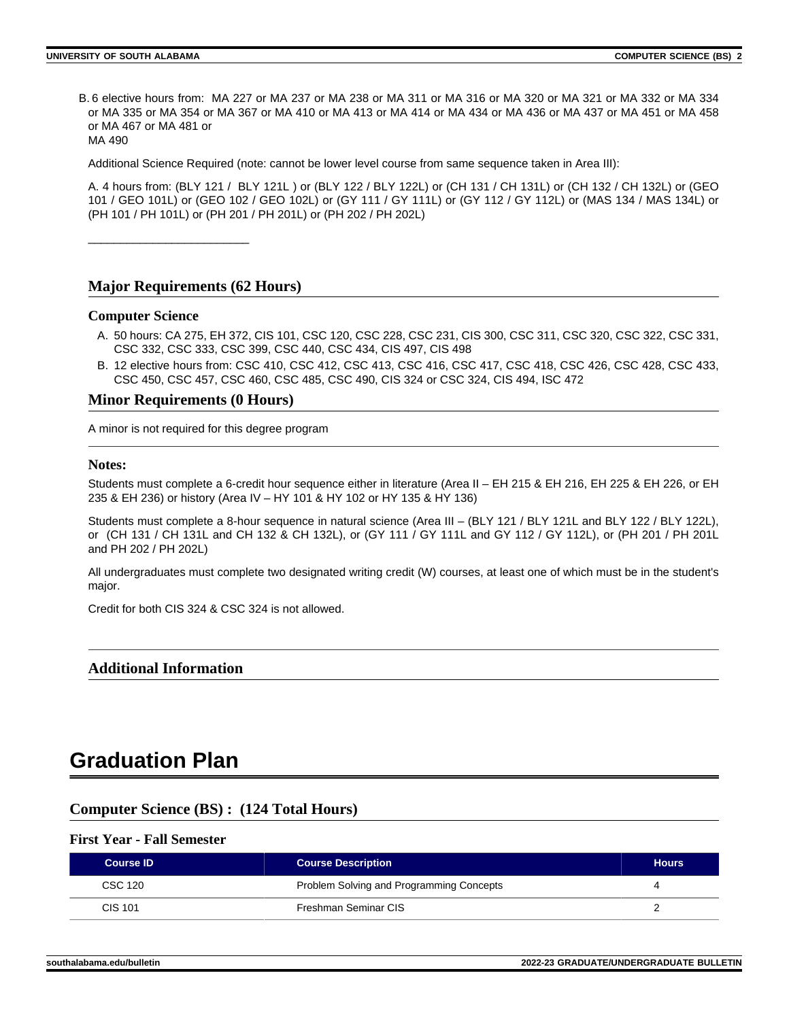B. 6 elective hours from: MA 227 or MA 237 or MA 238 or MA 311 or MA 316 or MA 320 or MA 321 or MA 332 or MA 334 or MA 335 or MA 354 or MA 367 or MA 410 or MA 413 or MA 414 or MA 434 or MA 436 or MA 437 or MA 451 or MA 458 or MA 467 or MA 481 or MA 490

Additional Science Required (note: cannot be lower level course from same sequence taken in Area III):

A. 4 hours from: (BLY 121 / BLY 121L ) or (BLY 122 / BLY 122L) or (CH 131 / CH 131L) or (CH 132 / CH 132L) or (GEO 101 / GEO 101L) or (GEO 102 / GEO 102L) or (GY 111 / GY 111L) or (GY 112 / GY 112L) or (MAS 134 / MAS 134L) or (PH 101 / PH 101L) or (PH 201 / PH 201L) or (PH 202 / PH 202L)

\_\_\_\_\_\_\_\_\_\_\_\_\_\_\_\_\_\_\_\_\_\_\_\_\_

### **Major Requirements (62 Hours)**

#### **Computer Science**

- A. 50 hours: CA 275, EH 372, CIS 101, CSC 120, CSC 228, CSC 231, CIS 300, CSC 311, CSC 320, CSC 322, CSC 331, CSC 332, CSC 333, CSC 399, CSC 440, CSC 434, CIS 497, CIS 498
- B. 12 elective hours from: CSC 410, CSC 412, CSC 413, CSC 416, CSC 417, CSC 418, CSC 426, CSC 428, CSC 433, CSC 450, CSC 457, CSC 460, CSC 485, CSC 490, CIS 324 or CSC 324, CIS 494, ISC 472

### **Minor Requirements (0 Hours)**

A minor is not required for this degree program

#### **Notes:**

Students must complete a 6-credit hour sequence either in literature (Area II – EH 215 & EH 216, EH 225 & EH 226, or EH 235 & EH 236) or history (Area IV – HY 101 & HY 102 or HY 135 & HY 136)

Students must complete a 8-hour sequence in natural science (Area III – (BLY 121 / BLY 121L and BLY 122 / BLY 122L), or (CH 131 / CH 131L and CH 132 & CH 132L), or (GY 111 / GY 111L and GY 112 / GY 112L), or (PH 201 / PH 201L and PH 202 / PH 202L)

All undergraduates must complete two designated writing credit (W) courses, at least one of which must be in the student's major.

Credit for both CIS 324 & CSC 324 is not allowed.

### **Additional Information**

# **Graduation Plan**

### **Computer Science (BS) : (124 Total Hours)**

#### **First Year - Fall Semester**

| <b>Course ID</b> | <b>Course Description</b>                | <b>Hours</b> |
|------------------|------------------------------------------|--------------|
| CSC 120          | Problem Solving and Programming Concepts |              |
| CIS 101          | Freshman Seminar CIS                     |              |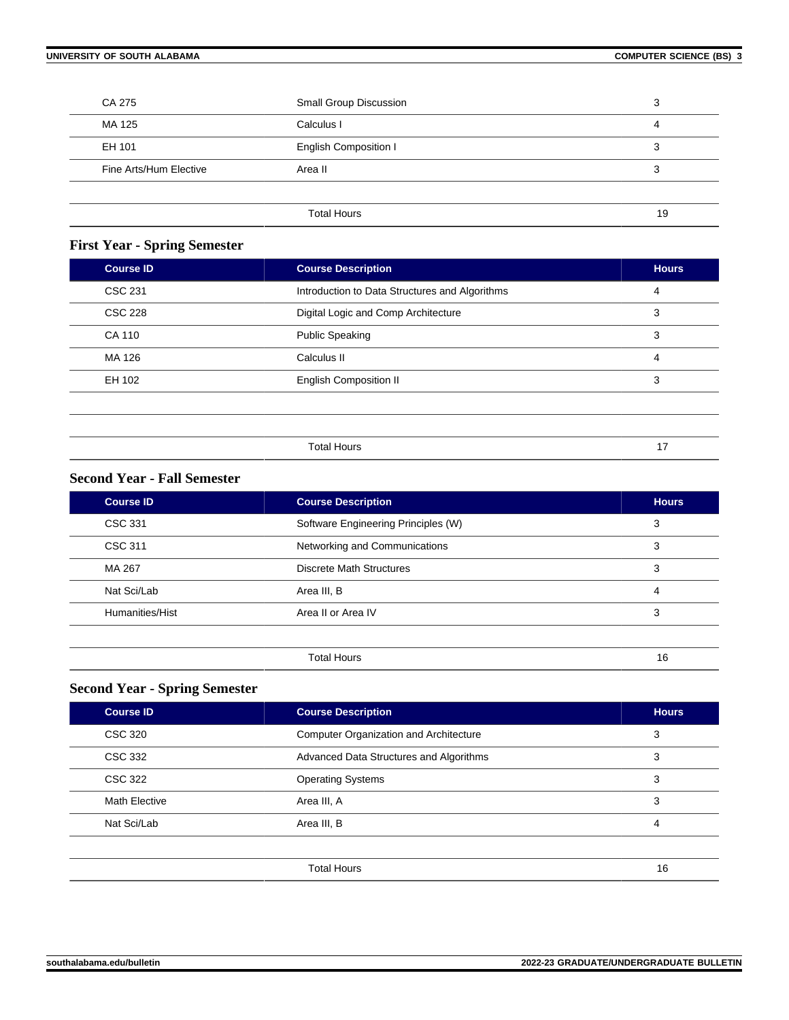| CA 275                 | Small Group Discussion       | 3  |
|------------------------|------------------------------|----|
| MA 125                 | Calculus I                   | 4  |
| EH 101                 | <b>English Composition I</b> | 3  |
| Fine Arts/Hum Elective | Area II                      | 3  |
|                        |                              |    |
|                        | <b>Total Hours</b>           | 19 |

## **First Year - Spring Semester**

| <b>Course ID</b> | <b>Course Description</b>                      | <b>Hours</b> |
|------------------|------------------------------------------------|--------------|
| <b>CSC 231</b>   | Introduction to Data Structures and Algorithms | 4            |
| <b>CSC 228</b>   | Digital Logic and Comp Architecture            | 3            |
| CA 110           | <b>Public Speaking</b>                         | 3            |
| MA 126           | Calculus II                                    | 4            |
| EH 102           | <b>English Composition II</b>                  | 3            |
|                  |                                                |              |
|                  |                                                |              |
|                  | <b>Total Hours</b>                             | 17           |

### **Second Year - Fall Semester**

| <b>Course ID</b> | <b>Course Description</b>           | <b>Hours</b> |
|------------------|-------------------------------------|--------------|
| CSC 331          | Software Engineering Principles (W) | 3            |
| <b>CSC 311</b>   | Networking and Communications       | 3            |
| MA 267           | Discrete Math Structures            | 3            |
| Nat Sci/Lab      | Area III, B                         | 4            |
| Humanities/Hist  | Area II or Area IV                  | 3            |
|                  |                                     |              |
|                  | <b>Total Hours</b>                  | 16           |

# **Second Year - Spring Semester**

| <b>Course ID</b>     | <b>Course Description</b>                     | <b>Hours</b> |
|----------------------|-----------------------------------------------|--------------|
| <b>CSC 320</b>       | <b>Computer Organization and Architecture</b> | 3            |
| CSC 332              | Advanced Data Structures and Algorithms       | 3            |
| CSC 322              | <b>Operating Systems</b>                      | 3            |
| <b>Math Elective</b> | Area III, A                                   | 3            |
| Nat Sci/Lab          | Area III, B                                   | 4            |
|                      |                                               |              |
|                      | <b>Total Hours</b>                            | 16           |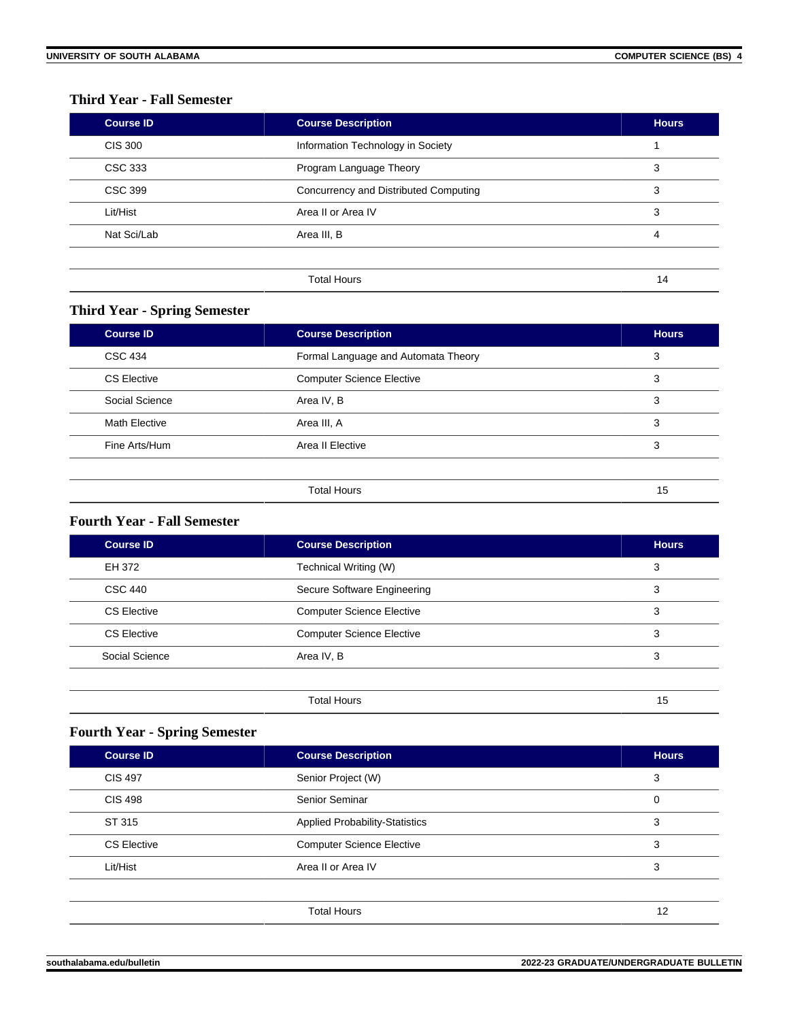### **Third Year - Fall Semester**

| <b>Course ID</b> | <b>Course Description</b>             | <b>Hours</b> |
|------------------|---------------------------------------|--------------|
| CIS 300          | Information Technology in Society     |              |
| CSC 333          | Program Language Theory               | 3            |
| <b>CSC 399</b>   | Concurrency and Distributed Computing | 3            |
| Lit/Hist         | Area II or Area IV                    | 3            |
| Nat Sci/Lab      | Area III, B                           | 4            |
|                  |                                       |              |
|                  | <b>Total Hours</b>                    | 14           |

## **Third Year - Spring Semester**

| <b>Course ID</b>     | <b>Course Description</b>           | <b>Hours</b> |
|----------------------|-------------------------------------|--------------|
| <b>CSC 434</b>       | Formal Language and Automata Theory | 3            |
| CS Elective          | <b>Computer Science Elective</b>    | 3            |
| Social Science       | Area IV, B                          | 3            |
| <b>Math Elective</b> | Area III, A                         | 3            |
| Fine Arts/Hum        | Area II Elective                    | 3            |
|                      |                                     |              |
|                      | <b>Total Hours</b>                  | 15           |

### **Fourth Year - Fall Semester**

| Course ID          | <b>Course Description</b>        | <b>Hours</b> |
|--------------------|----------------------------------|--------------|
| EH 372             | Technical Writing (W)            | 3            |
| <b>CSC 440</b>     | Secure Software Engineering      | 3            |
| <b>CS Elective</b> | <b>Computer Science Elective</b> | 3            |
| <b>CS Elective</b> | <b>Computer Science Elective</b> | 3            |
| Social Science     | Area IV, B                       | 3            |
|                    |                                  |              |
|                    | <b>Total Hours</b>               | 15           |

# **Fourth Year - Spring Semester**

| <b>Course ID</b>   | <b>Course Description</b>             | <b>Hours</b> |
|--------------------|---------------------------------------|--------------|
| <b>CIS 497</b>     | Senior Project (W)                    | 3            |
| <b>CIS 498</b>     | Senior Seminar                        | 0            |
| ST 315             | <b>Applied Probability-Statistics</b> | 3            |
| <b>CS Elective</b> | <b>Computer Science Elective</b>      | 3            |
| Lit/Hist           | Area II or Area IV                    | 3            |
|                    |                                       |              |
|                    | <b>Total Hours</b>                    | 12           |